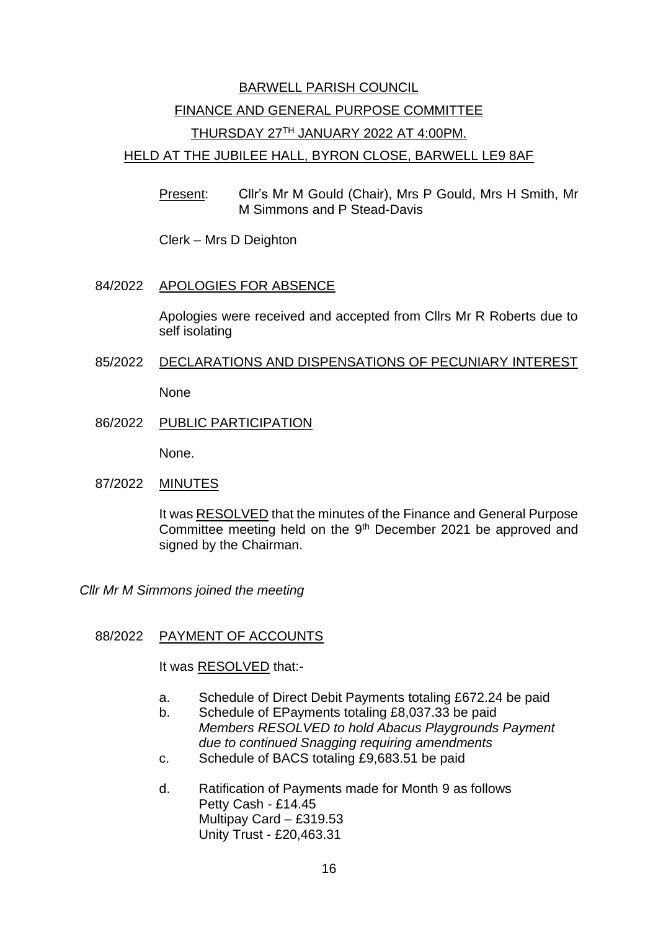# BARWELL PARISH COUNCIL FINANCE AND GENERAL PURPOSE COMMITTEE THURSDAY 27TH JANUARY 2022 AT 4:00PM.

### HELD AT THE JUBILEE HALL, BYRON CLOSE, BARWELL LE9 8AF

Present: Cllr's Mr M Gould (Chair), Mrs P Gould, Mrs H Smith, Mr M Simmons and P Stead-Davis

Clerk – Mrs D Deighton

## 84/2022 APOLOGIES FOR ABSENCE

Apologies were received and accepted from Cllrs Mr R Roberts due to self isolating

85/2022 DECLARATIONS AND DISPENSATIONS OF PECUNIARY INTEREST

None

86/2022 PUBLIC PARTICIPATION

None.

87/2022 MINUTES

It was RESOLVED that the minutes of the Finance and General Purpose Committee meeting held on the 9<sup>th</sup> December 2021 be approved and signed by the Chairman.

*Cllr Mr M Simmons joined the meeting*

#### 88/2022 PAYMENT OF ACCOUNTS

It was RESOLVED that:-

- a. Schedule of Direct Debit Payments totaling £672.24 be paid
- b. Schedule of EPayments totaling £8,037.33 be paid *Members RESOLVED to hold Abacus Playgrounds Payment due to continued Snagging requiring amendments*
- c. Schedule of BACS totaling £9,683.51 be paid
- d. Ratification of Payments made for Month 9 as follows Petty Cash - £14.45 Multipay Card – £319.53 Unity Trust - £20,463.31